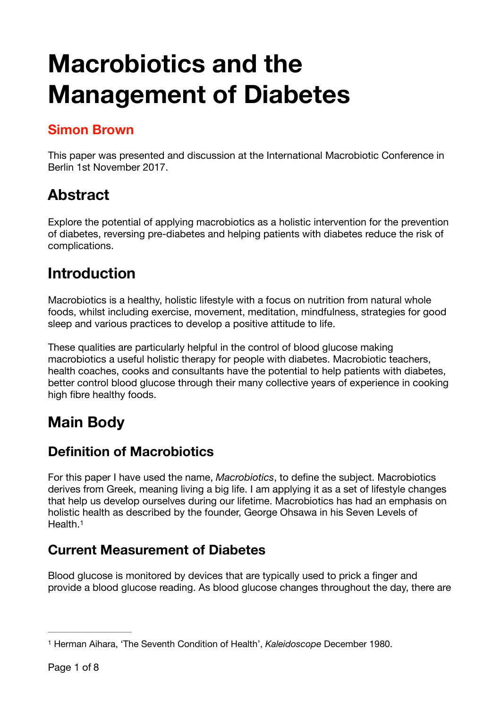# **Macrobiotics and the Management of Diabetes**

### **Simon Brown**

This paper was presented and discussion at the International Macrobiotic Conference in Berlin 1st November 2017.

# **Abstract**

Explore the potential of applying macrobiotics as a holistic intervention for the prevention of diabetes, reversing pre-diabetes and helping patients with diabetes reduce the risk of complications.

# **Introduction**

Macrobiotics is a healthy, holistic lifestyle with a focus on nutrition from natural whole foods, whilst including exercise, movement, meditation, mindfulness, strategies for good sleep and various practices to develop a positive attitude to life.

These qualities are particularly helpful in the control of blood glucose making macrobiotics a useful holistic therapy for people with diabetes. Macrobiotic teachers, health coaches, cooks and consultants have the potential to help patients with diabetes, better control blood glucose through their many collective years of experience in cooking high fibre healthy foods.

# **Main Body**

### **Definition of Macrobiotics**

For this paper I have used the name, *Macrobiotics*, to define the subject. Macrobiotics derives from Greek, meaning living a big life. I am applying it as a set of lifestyle changes that help us develop ourselves during our lifetime. Macrobiotics has had an emphasis on holistic health as described by the founder, George Ohsawa in his Seven Levels of Health[.1](#page-0-0)

### <span id="page-0-1"></span>**Current Measurement of Diabetes**

Blood glucose is monitored by devices that are typically used to prick a finger and provide a blood glucose reading. As blood glucose changes throughout the day, there are

<span id="page-0-0"></span><sup>&</sup>lt;sup>[1](#page-0-1)</sup> Herman Aihara, 'The Seventh Condition of Health', *Kaleidoscope* December 1980.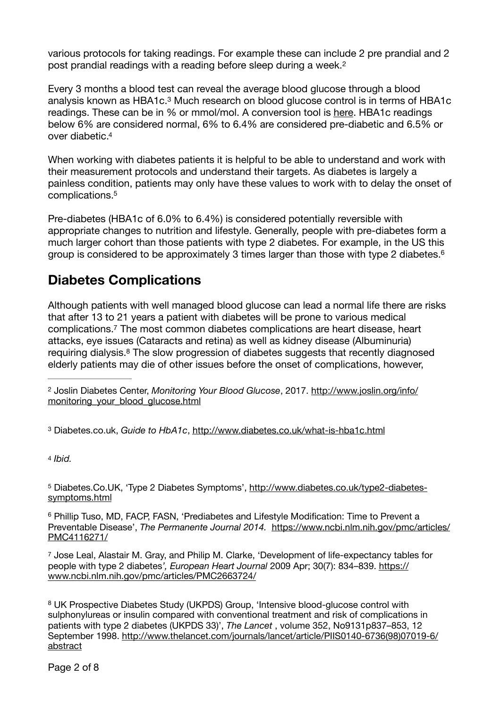<span id="page-1-7"></span>various protocols for taking readings. For example these can include 2 pre prandial and 2 post prandial readings with a reading before sleep during a week.<sup>[2](#page-1-0)</sup>

<span id="page-1-8"></span>Every 3 months a blood test can reveal the average blood glucose through a blood analysis known as HBA1c[.](#page-1-1)<sup>[3](#page-1-1)</sup> Much research on blood glucose control is in terms of HBA1c readings. These can be in % or mmol/mol. A conversion tool is [here.](http://www.diabetes.co.uk/hba1c-units-converter.html) HBA1c readings below 6% are considered normal, 6% to 6.4% are considered pre-diabetic and 6.5% or over diabetic[.4](#page-1-2)

<span id="page-1-9"></span>When working with diabetes patients it is helpful to be able to understand and work with their measurement protocols and understand their targets. As diabetes is largely a painless condition, patients may only have these values to work with to delay the onset of complications[.5](#page-1-3)

<span id="page-1-10"></span>Pre-diabetes (HBA1c of 6.0% to 6.4%) is considered potentially reversible with appropriate changes to nutrition and lifestyle. Generally, people with pre-diabetes form a much larger cohort than those patients with type 2 diabetes. For example, in the US this group is considered to be approximately 3 times larger than those with type 2 diabetes[.6](#page-1-4)

### <span id="page-1-11"></span>**Diabetes Complications**

<span id="page-1-12"></span>Although patients with well managed blood glucose can lead a normal life there are risks that after 13 to 21 years a patient with diabetes will be prone to various medical complications[.](#page-1-5)<sup>[7](#page-1-5)</sup> The most common diabetes complications are heart disease, heart attacks, eye issues (Cataracts and retina) as well as kidney disease (Albuminuria) requiring dialysis[.](#page-1-6) $8$  The slow progression of diabetes suggests that recently diagnosed elderly patients may die of other issues before the onset of complications, however,

<span id="page-1-1"></span>Diabetes.co.uk, *Guide to HbA1c*, <http://www.diabetes.co.uk/what-is-hba1c.html> [3](#page-1-8)

<span id="page-1-2"></span>[4](#page-1-9) *Ibid.*

<span id="page-1-3"></span>5 Diabetes.Co.UK, 'Type 2 Diabetes Symptoms', [http://www.diabetes.co.uk/type2-diabetes](http://www.diabetes.co.uk/type2-diabetes-symptoms.html) [symptoms.html](http://www.diabetes.co.uk/type2-diabetes-symptoms.html)

<span id="page-1-4"></span><sup>[6](#page-1-11)</sup> Phillip Tuso, MD, FACP, FASN, 'Prediabetes and Lifestyle Modification: Time to Prevent a Preventable Disease', *The Permanente Journal 2014.* [https://www.ncbi.nlm.nih.gov/pmc/articles/](https://www.ncbi.nlm.nih.gov/pmc/articles/PMC4116271/) [PMC4116271/](https://www.ncbi.nlm.nih.gov/pmc/articles/PMC4116271/)

<span id="page-1-5"></span>[7](#page-1-12) Jose Leal, Alastair M. Gray, and Philip M. Clarke, 'Development of life-expectancy tables for people with type 2 diabetes*', European Heart Journal* 2009 Apr; 30(7): 834–839. [https://](https://www.ncbi.nlm.nih.gov/pmc/articles/PMC2663724/) [www.ncbi.nlm.nih.gov/pmc/articles/PMC2663724/](https://www.ncbi.nlm.nih.gov/pmc/articles/PMC2663724/)

<span id="page-1-6"></span> UK Prospective Diabetes Study (UKPDS) Group, 'Intensive blood-glucose control with [8](#page-1-13) sulphonylureas or insulin compared with conventional treatment and risk of complications in patients with type 2 diabetes (UKPDS 33)', *The Lancet* , volume 352, No9131p837–853, 12 September 1998. [http://www.thelancet.com/journals/lancet/article/PIIS0140-6736\(98\)07019-6/](http://www.thelancet.com/journals/lancet/article/PIIS0140-6736(98)07019-6/abstract) [abstract](http://www.thelancet.com/journals/lancet/article/PIIS0140-6736(98)07019-6/abstract)

<span id="page-1-13"></span><span id="page-1-0"></span><sup>&</sup>lt;sup>[2](#page-1-7)</sup> Joslin Diabetes Center, *Monitoring Your Blood Glucose*, 2017. [http://www.joslin.org/info/](http://www.joslin.org/info/monitoring_your_blood_glucose.html) [monitoring\\_your\\_blood\\_glucose.html](http://www.joslin.org/info/monitoring_your_blood_glucose.html)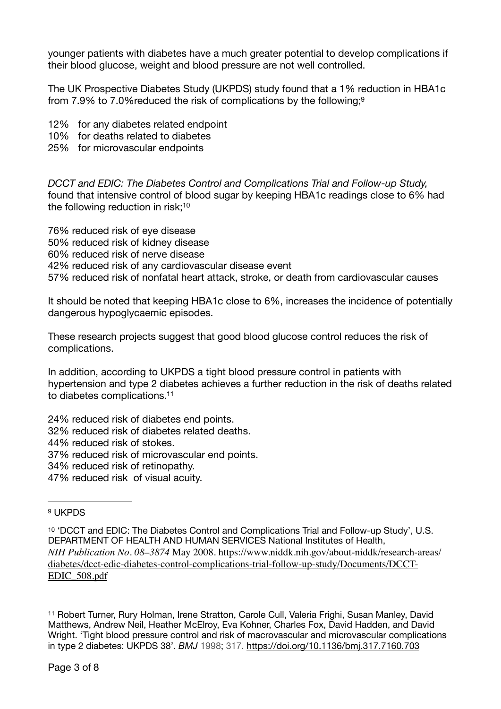younger patients with diabetes have a much greater potential to develop complications if their blood glucose, weight and blood pressure are not well controlled.

<span id="page-2-3"></span>The UK Prospective Diabetes Study (UKPDS) study found that a 1% reduction in HBA1c from 7.9% to 7.0%reduced the risk of complications by the following[;9](#page-2-0)

12% for any diabetes related endpoint

- 10% for deaths related to diabetes
- 25% for microvascular endpoints

*DCCT and EDIC: The Diabetes Control and Complications Trial and Follow-up Study,* found that intensive control of blood sugar by keeping HBA1c readings close to 6% had the following reduction in risk;<sup>10</sup>

<span id="page-2-4"></span>76% reduced risk of eye disease 50% reduced risk of kidney disease 60% reduced risk of nerve disease 42% reduced risk of any cardiovascular disease event 57% reduced risk of nonfatal heart attack, stroke, or death from cardiovascular causes

It should be noted that keeping HBA1c close to 6%, increases the incidence of potentially dangerous hypoglycaemic episodes.

These research projects suggest that good blood glucose control reduces the risk of complications.

<span id="page-2-5"></span>In addition, according to UKPDS a tight blood pressure control in patients with hypertension and type 2 diabetes achieves a further reduction in the risk of deaths related to diabetes complications[.11](#page-2-2)

24% reduced risk of diabetes end points.

32% reduced risk of diabetes related deaths.

44% reduced risk of stokes.

37% reduced risk of microvascular end points.

34% reduced risk of retinopathy.

47% reduced risk of visual acuity.

#### <span id="page-2-0"></span>[9](#page-2-3) UKPDS

<span id="page-2-1"></span>[10](#page-2-4) 'DCCT and EDIC: The Diabetes Control and Complications Trial and Follow-up Study', U.S. DEPARTMENT OF HEALTH AND HUMAN SERVICES National Institutes of Health, *NIH Publication No. 08–3874* [May 2008. https://www.niddk.nih.gov/about-niddk/research-areas/](https://www.niddk.nih.gov/about-niddk/research-areas/diabetes/dcct-edic-diabetes-control-complications-trial-follow-up-study/Documents/DCCT-EDIC_508.pdf) [diabetes/dcct-edic-diabetes-control-complications-trial-follow-up-study/Documents/DCCT-](https://www.niddk.nih.gov/about-niddk/research-areas/diabetes/dcct-edic-diabetes-control-complications-trial-follow-up-study/Documents/DCCT-EDIC_508.pdf)[EDIC\\_508.pdf](https://www.niddk.nih.gov/about-niddk/research-areas/diabetes/dcct-edic-diabetes-control-complications-trial-follow-up-study/Documents/DCCT-EDIC_508.pdf)

<span id="page-2-2"></span><sup>[11](#page-2-5)</sup> Robert Turner, Rury Holman, Irene Stratton, Carole Cull, Valeria Frighi, Susan Manley, David Matthews, Andrew Neil, Heather McElroy, Eva Kohner, Charles Fox, David Hadden, and David Wright. 'Tight blood pressure control and risk of macrovascular and microvascular complications in type 2 diabetes: UKPDS 38'. *BMJ* 1998; 317.<https://doi.org/10.1136/bmj.317.7160.703>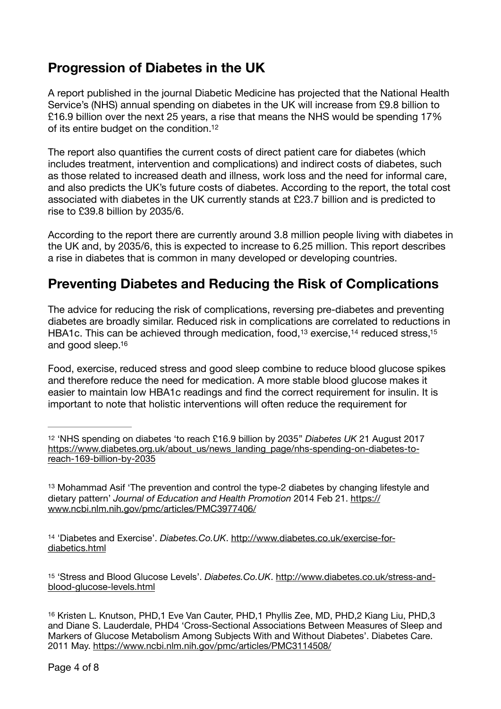### **Progression of Diabetes in the UK**

A report published in the journal Diabetic Medicine has projected that the National Health Service's (NHS) annual spending on diabetes in the UK will increase from £9.8 billion to £16.9 billion over the next 25 years, a rise that means the NHS would be spending 17% of its entire budget on the condition[.12](#page-3-0)

<span id="page-3-5"></span>The report also quantifies the current costs of direct patient care for diabetes (which includes treatment, intervention and complications) and indirect costs of diabetes, such as those related to increased death and illness, work loss and the need for informal care, and also predicts the UK's future costs of diabetes. According to the report, the total cost associated with diabetes in the UK currently stands at £23.7 billion and is predicted to rise to £39.8 billion by 2035/6.

According to the report there are currently around 3.8 million people living with diabetes in the UK and, by 2035/6, this is expected to increase to 6.25 million. This report describes a rise in diabetes that is common in many developed or developing countries.

### **Preventing Diabetes and Reducing the Risk of Complications**

<span id="page-3-8"></span><span id="page-3-7"></span><span id="page-3-6"></span>The advice for reducing the risk of complications, reversing pre-diabetes and preventing diabetes are broadly similar. Reduced risk in complications are correlated to reductions in HBA1c. This can be achieved through medication, food,  $13$  exercise,  $14$  reduced stress,  $15$ and good sleep[.16](#page-3-4)

<span id="page-3-9"></span>Food, exercise, reduced stress and good sleep combine to reduce blood glucose spikes and therefore reduce the need for medication. A more stable blood glucose makes it easier to maintain low HBA1c readings and find the correct requirement for insulin. It is important to note that holistic interventions will often reduce the requirement for

<span id="page-3-1"></span><sup>[13](#page-3-6)</sup> Mohammad Asif 'The prevention and control the type-2 diabetes by changing lifestyle and dietary pattern' *Journal of Education and Health Promotion* 2014 Feb 21. [https://](https://www.ncbi.nlm.nih.gov/pmc/articles/PMC3977406/) [www.ncbi.nlm.nih.gov/pmc/articles/PMC3977406/](https://www.ncbi.nlm.nih.gov/pmc/articles/PMC3977406/)

<span id="page-3-2"></span><sup>[14](#page-3-7)</sup> 'Diabetes and Exercise'. *Diabetes.Co.UK*. [http://www.diabetes.co.uk/exercise-for](http://www.diabetes.co.uk/exercise-for-diabetics.html) [diabetics.html](http://www.diabetes.co.uk/exercise-for-diabetics.html)

<span id="page-3-3"></span>[15](#page-3-8) 'Stress and Blood Glucose Levels'. *Diabetes.Co.UK*. [http://www.diabetes.co.uk/stress-and](http://www.diabetes.co.uk/stress-and-blood-glucose-levels.html)[blood-glucose-levels.html](http://www.diabetes.co.uk/stress-and-blood-glucose-levels.html)

<span id="page-3-4"></span><sup>[16](#page-3-9)</sup> Kristen L. Knutson, PHD, 1 Eve Van Cauter, PHD, 1 Phyllis Zee, MD, PHD, 2 Kiang Liu, PHD, 3 and Diane S. Lauderdale, PHD4 'Cross-Sectional Associations Between Measures of Sleep and Markers of Glucose Metabolism Among Subjects With and Without Diabetes'. Diabetes Care. 2011 May.<https://www.ncbi.nlm.nih.gov/pmc/articles/PMC3114508/>

<span id="page-3-0"></span>[<sup>12</sup>](#page-3-5) 'NHS spending on diabetes 'to reach £16.9 billion by 2035'' *Diabetes UK* 21 August 2017 [https://www.diabetes.org.uk/about\\_us/news\\_landing\\_page/nhs-spending-on-diabetes-to](https://www.diabetes.org.uk/about_us/news_landing_page/nhs-spending-on-diabetes-to-reach-169-billion-by-2035)[reach-169-billion-by-2035](https://www.diabetes.org.uk/about_us/news_landing_page/nhs-spending-on-diabetes-to-reach-169-billion-by-2035)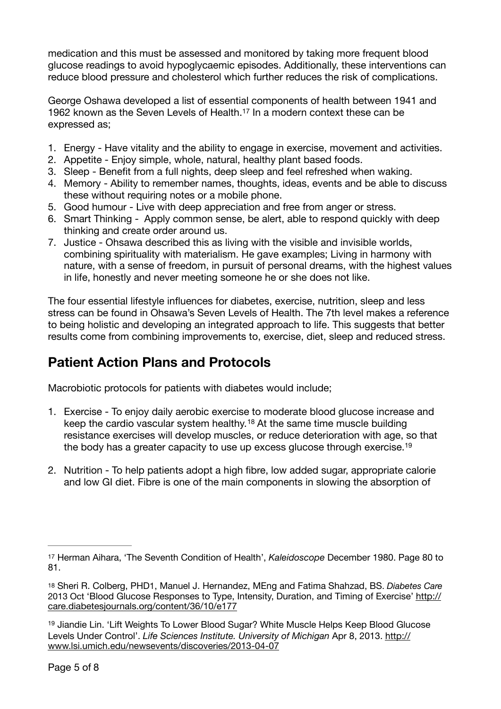medication and this must be assessed and monitored by taking more frequent blood glucose readings to avoid hypoglycaemic episodes. Additionally, these interventions can reduce blood pressure and cholesterol which further reduces the risk of complications.

<span id="page-4-3"></span>George Oshawa developed a list of essential components of health between 1941 and 1962known as the Seven Levels of Health.<sup>[17](#page-4-0)</sup> In a modern context these can be expressed as;

- 1. Energy Have vitality and the ability to engage in exercise, movement and activities.
- 2. Appetite Enjoy simple, whole, natural, healthy plant based foods.
- 3. Sleep Benefit from a full nights, deep sleep and feel refreshed when waking.
- 4. Memory Ability to remember names, thoughts, ideas, events and be able to discuss these without requiring notes or a mobile phone.
- 5. Good humour Live with deep appreciation and free from anger or stress.
- 6. Smart Thinking Apply common sense, be alert, able to respond quickly with deep thinking and create order around us.
- 7. Justice Ohsawa described this as living with the visible and invisible worlds, combining spirituality with materialism. He gave examples; Living in harmony with nature, with a sense of freedom, in pursuit of personal dreams, with the highest values in life, honestly and never meeting someone he or she does not like.

The four essential lifestyle influences for diabetes, exercise, nutrition, sleep and less stress can be found in Ohsawa's Seven Levels of Health. The 7th level makes a reference to being holistic and developing an integrated approach to life. This suggests that better results come from combining improvements to, exercise, diet, sleep and reduced stress.

### **Patient Action Plans and Protocols**

Macrobiotic protocols for patients with diabetes would include;

- <span id="page-4-5"></span><span id="page-4-4"></span>1. Exercise - To enjoy daily aerobic exercise to moderate blood glucose increase and keepthe cardio vascular system healthy.<sup>[18](#page-4-1)</sup> At the same time muscle building resistance exercises will develop muscles, or reduce deterioration with age, so that the body has a greater capacity to use up excess glucose through exercise.<sup>[19](#page-4-2)</sup>
- 2. Nutrition To help patients adopt a high fibre, low added sugar, appropriate calorie and low GI diet. Fibre is one of the main components in slowing the absorption of

<span id="page-4-0"></span>[<sup>17</sup>](#page-4-3) Herman Aihara, 'The Seventh Condition of Health', *Kaleidoscope* December 1980. Page 80 to 81.

<span id="page-4-1"></span>[<sup>18</sup>](#page-4-4) Sheri R. Colberg, PHD1, Manuel J. Hernandez, MEng and Fatima Shahzad, BS. *Diabetes Care* 2013 Oct 'Blood Glucose Responses to Type, Intensity, Duration, and Timing of Exercise' [http://](http://care.diabetesjournals.org/content/36/10/e177) [care.diabetesjournals.org/content/36/10/e177](http://care.diabetesjournals.org/content/36/10/e177)

<span id="page-4-2"></span><sup>&</sup>lt;sup>[19](#page-4-5)</sup> Jiandie Lin. 'Lift Weights To Lower Blood Sugar? White Muscle Helps Keep Blood Glucose Levels Under Control'. *Life Sciences Institute. University of Michigan* Apr 8, 2013. [http://](http://www.lsi.umich.edu/newsevents/discoveries/2013-04-07) [www.lsi.umich.edu/newsevents/discoveries/2013-04-07](http://www.lsi.umich.edu/newsevents/discoveries/2013-04-07)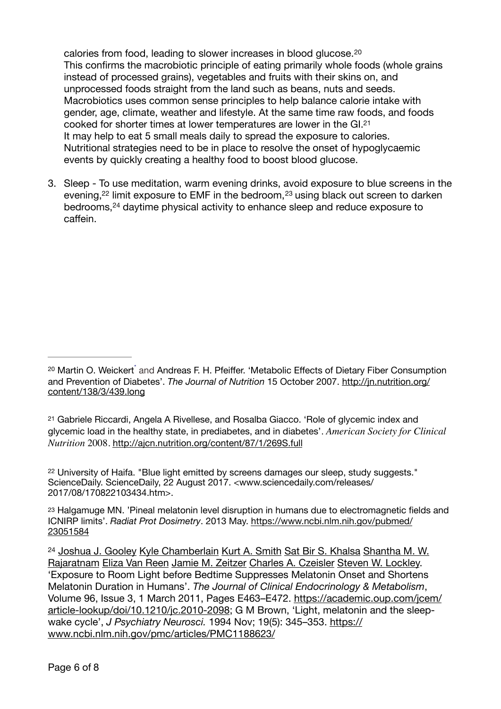<span id="page-5-6"></span><span id="page-5-5"></span>calories from food, leading to slower increases in blood glucose.[20](#page-5-0) This confirms the macrobiotic principle of eating primarily whole foods (whole grains instead of processed grains), vegetables and fruits with their skins on, and unprocessed foods straight from the land such as beans, nuts and seeds. Macrobiotics uses common sense principles to help balance calorie intake with gender, age, climate, weather and lifestyle. At the same time raw foods, and foods cooked for shorter times at lower temperatures are lower in the GI[.21](#page-5-1) It may help to eat 5 small meals daily to spread the exposure to calories. Nutritional strategies need to be in place to resolve the onset of hypoglycaemic events by quickly creating a healthy food to boost blood glucose.

<span id="page-5-9"></span><span id="page-5-8"></span><span id="page-5-7"></span>3. Sleep - To use meditation, warm evening drinks, avoid exposure to blue screens in the evening[,](#page-5-2) $22$ limit exposure to EMF in the bedroom,  $23$  using black out screen to darken bedrooms,<sup>24</sup>daytime physical activity to enhance sleep and reduce exposure to caffein.

<span id="page-5-1"></span>[21](#page-5-6) Gabriele Riccardi, Angela A Rivellese, and Rosalba Giacco. 'Role of glycemic index and glycemic load in the healthy state, in prediabetes, and in diabetes'. *American Society for Clinical Nutrition* 2008. <http://ajcn.nutrition.org/content/87/1/269S.full>

<span id="page-5-2"></span><sup>[22](#page-5-7)</sup> University of Haifa. "Blue light emitted by screens damages our sleep, study suggests." ScienceDaily. ScienceDaily, 22 August 2017. <www.sciencedaily.com/releases/ 2017/08/170822103434.htm>.

<span id="page-5-3"></span>[23](#page-5-8) Halgamuge MN. 'Pineal melatonin level disruption in humans due to electromagnetic fields and ICNIRP limits'. *Radiat Prot Dosimetry*. 2013 May. [https://www.ncbi.nlm.nih.gov/pubmed/](https://www.ncbi.nlm.nih.gov/pubmed/23051584) [23051584](https://www.ncbi.nlm.nih.gov/pubmed/23051584)

<span id="page-5-4"></span><sup>[24](#page-5-9)</sup> Joshua J. Gooley Kyle Chamberlain Kurt A. Smith Sat Bir S. Khalsa Shantha M. W. [Rajaratnam](javascript:;) [Eliza Van Reen](javascript:;) [Jamie M. Zeitzer](javascript:;) [Charles A. Czeisler](javascript:;) [Steven W. Lockley.](javascript:;) 'Exposure to Room Light before Bedtime Suppresses Melatonin Onset and Shortens Melatonin Duration in Humans'. *The Journal of Clinical Endocrinology & Metabolism*, Volume 96, Issue 3, 1 March 2011, Pages E463–E472. [https://academic.oup.com/jcem/](https://academic.oup.com/jcem/article-lookup/doi/10.1210/jc.2010-2098) [article-lookup/doi/10.1210/jc.2010-2098](https://academic.oup.com/jcem/article-lookup/doi/10.1210/jc.2010-2098); G M Brown, 'Light, melatonin and the sleepwake cycle', *J Psychiatry Neurosci.* 1994 Nov; 19(5): 345–353. [https://](https://www.ncbi.nlm.nih.gov/pmc/articles/PMC1188623/) [www.ncbi.nlm.nih.gov/pmc/articles/PMC1188623/](https://www.ncbi.nlm.nih.gov/pmc/articles/PMC1188623/)

<span id="page-5-0"></span><sup>&</sup>lt;sup>[20](#page-5-5)</sup> Martin O. Weickert<sup>\*</sup> and Andreas F. H. Pfeiffer. 'Metabolic Effects of Dietary Fiber Consumption and Prevention of Diabetes'. *The Journal of Nutrition* 15 October 2007. [http://jn.nutrition.org/](http://jn.nutrition.org/content/138/3/439.long) [content/138/3/439.long](http://jn.nutrition.org/content/138/3/439.long)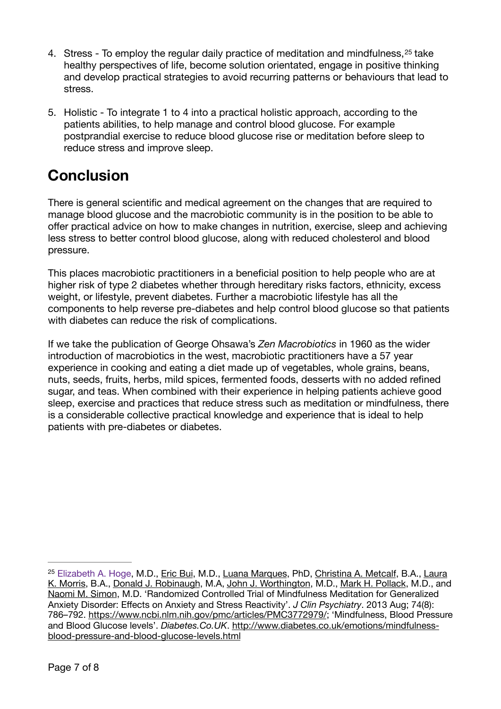- <span id="page-6-1"></span>4.Stress - To employ the regular daily practice of meditation and mindfulness, <sup>[25](#page-6-0)</sup> take healthy perspectives of life, become solution orientated, engage in positive thinking and develop practical strategies to avoid recurring patterns or behaviours that lead to stress.
- 5. Holistic To integrate 1 to 4 into a practical holistic approach, according to the patients abilities, to help manage and control blood glucose. For example postprandial exercise to reduce blood glucose rise or meditation before sleep to reduce stress and improve sleep.

# **Conclusion**

There is general scientific and medical agreement on the changes that are required to manage blood glucose and the macrobiotic community is in the position to be able to offer practical advice on how to make changes in nutrition, exercise, sleep and achieving less stress to better control blood glucose, along with reduced cholesterol and blood pressure.

This places macrobiotic practitioners in a beneficial position to help people who are at higher risk of type 2 diabetes whether through hereditary risks factors, ethnicity, excess weight, or lifestyle, prevent diabetes. Further a macrobiotic lifestyle has all the components to help reverse pre-diabetes and help control blood glucose so that patients with diabetes can reduce the risk of complications.

If we take the publication of George Ohsawa's *Zen Macrobiotics* in 1960 as the wider introduction of macrobiotics in the west, macrobiotic practitioners have a 57 year experience in cooking and eating a diet made up of vegetables, whole grains, beans, nuts, seeds, fruits, herbs, mild spices, fermented foods, desserts with no added refined sugar, and teas. When combined with their experience in helping patients achieve good sleep, exercise and practices that reduce stress such as meditation or mindfulness, there is a considerable collective practical knowledge and experience that is ideal to help patients with pre-diabetes or diabetes.

<span id="page-6-0"></span><sup>&</sup>lt;sup>25</sup> [Elizabeth A. Hoge,](https://www.ncbi.nlm.nih.gov/pubmed/?term=Hoge%20EA%5BAuthor%5D&cauthor=true&cauthor_uid=23541163) M.D., [Eric Bui](https://www.ncbi.nlm.nih.gov/pubmed/?term=Bui%20E%5BAuthor%5D&cauthor=true&cauthor_uid=23541163), M.D., [Luana Marques](https://www.ncbi.nlm.nih.gov/pubmed/?term=Marques%20L%5BAuthor%5D&cauthor=true&cauthor_uid=23541163), PhD, [Christina A. Metcalf,](https://www.ncbi.nlm.nih.gov/pubmed/?term=Metcalf%20CA%5BAuthor%5D&cauthor=true&cauthor_uid=23541163) B.A., Laura [K. Morris](https://www.ncbi.nlm.nih.gov/pubmed/?term=Morris%20LK%5BAuthor%5D&cauthor=true&cauthor_uid=23541163), B.A., [Donald J. Robinaugh,](https://www.ncbi.nlm.nih.gov/pubmed/?term=Robinaugh%20DJ%5BAuthor%5D&cauthor=true&cauthor_uid=23541163) M.A, [John J. Worthington,](https://www.ncbi.nlm.nih.gov/pubmed/?term=Worthington%20JJ%5BAuthor%5D&cauthor=true&cauthor_uid=23541163) M.D., [Mark H. Pollack](https://www.ncbi.nlm.nih.gov/pubmed/?term=Pollack%20MH%5BAuthor%5D&cauthor=true&cauthor_uid=23541163), M.D., and [Naomi M. Simon](https://www.ncbi.nlm.nih.gov/pubmed/?term=Simon%20NM%5BAuthor%5D&cauthor=true&cauthor_uid=23541163), M.D. 'Randomized Controlled Trial of Mindfulness Meditation for Generalized Anxiety Disorder: Effects on Anxiety and Stress Reactivity'. *J Clin Psychiatry*. 2013 Aug; 74(8): 786–792.<https://www.ncbi.nlm.nih.gov/pmc/articles/PMC3772979/>; 'Mindfulness, Blood Pressure and Blood Glucose levels'. *Diabetes.Co.UK*[. http://www.diabetes.co.uk/emotions/mindfulness](http://www.diabetes.co.uk/emotions/mindfulness-blood-pressure-and-blood-glucose-levels.html)[blood-pressure-and-blood-glucose-levels.html](http://www.diabetes.co.uk/emotions/mindfulness-blood-pressure-and-blood-glucose-levels.html)